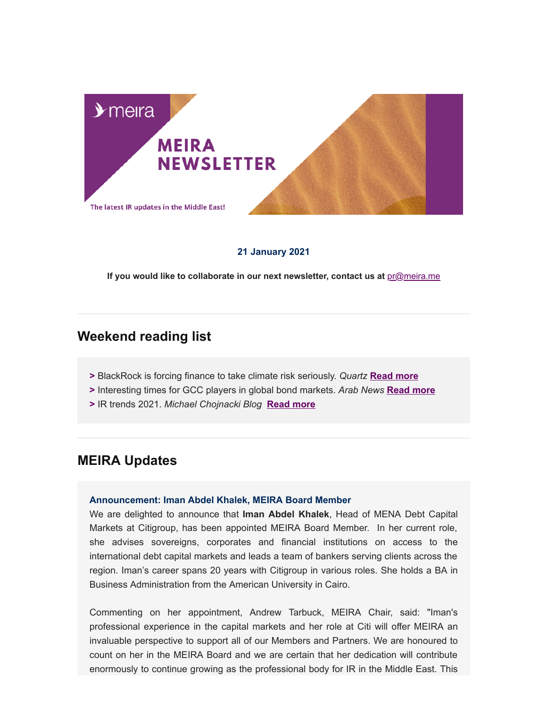

### **21 January 2021**

If you would like to collaborate in our next newsletter, contact us at **[pr@meira.me](mailto:pr@meira.me?subject=MEIRA%20Newsletter%20-%20Feedback)** 

# **Weekend reading list**

- **>** BlackRock is forcing finance to take climate risk seriously. *Quartz* **[Read more](https://qz.com/1957979/blackrock-is-forcing-wall-street-to-take-climate-risk-seriously/)**
- **>** Interesting times for GCC players in global bond markets. *Arab News* **[Read more](https://www.arabnews.com/node/1794696)**
- **>** IR trends 2021. *Michael Chojnacki Blog* **[Read more](https://www.linkedin.com/pulse/ir-trends-2021-michael-chojnacki/?trackingId=SlNXLJ8sR869L1%2B0kREA4Q%3D%3D)**

# **MEIRA Updates**

#### **Announcement: Iman Abdel Khalek, MEIRA Board Member**

We are delighted to announce that **Iman Abdel Khalek**, Head of MENA Debt Capital Markets at Citigroup, has been appointed MEIRA Board Member. In her current role, she advises sovereigns, corporates and financial institutions on access to the international debt capital markets and leads a team of bankers serving clients across the region. Iman's career spans 20 years with Citigroup in various roles. She holds a BA in Business Administration from the American University in Cairo.

Commenting on her appointment, Andrew Tarbuck, MEIRA Chair, said: "Iman's professional experience in the capital markets and her role at Citi will offer MEIRA an invaluable perspective to support all of our Members and Partners. We are honoured to count on her in the MEIRA Board and we are certain that her dedication will contribute enormously to continue growing as the professional body for IR in the Middle East. This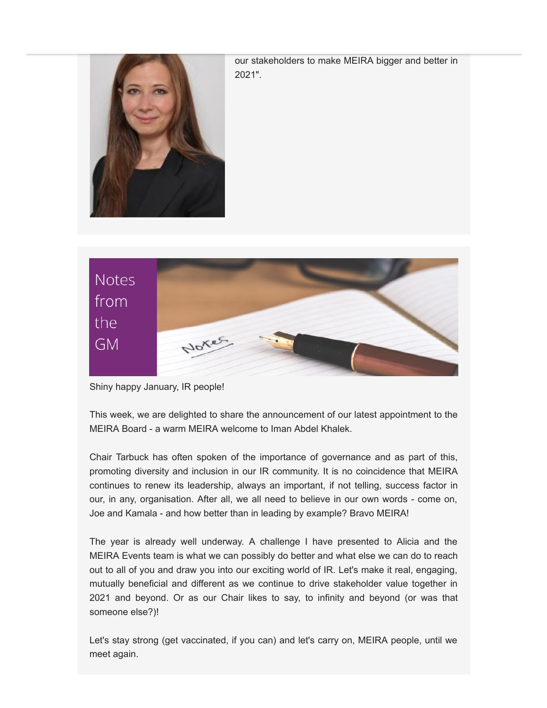

our stakeholders to make MEIRA bigger and better in 2021".



Shiny happy January, IR people!

This week, we are delighted to share the announcement of our latest appointment to the MEIRA Board - a warm MEIRA welcome to Iman Abdel Khalek.

Chair Tarbuck has often spoken of the importance of governance and as part of this, promoting diversity and inclusion in our IR community. It is no coincidence that MEIRA continues to renew its leadership, always an important, if not telling, success factor in our, in any, organisation. After all, we all need to believe in our own words - come on, Joe and Kamala - and how better than in leading by example? Bravo MEIRA!

The year is already well underway. A challenge I have presented to Alicia and the MEIRA Events team is what we can possibly do better and what else we can do to reach out to all of you and draw you into our exciting world of IR. Let's make it real, engaging, mutually beneficial and different as we continue to drive stakeholder value together in 2021 and beyond. Or as our Chair likes to say, to infinity and beyond (or was that someone else?)!

Let's stay strong (get vaccinated, if you can) and let's carry on, MEIRA people, until we meet again.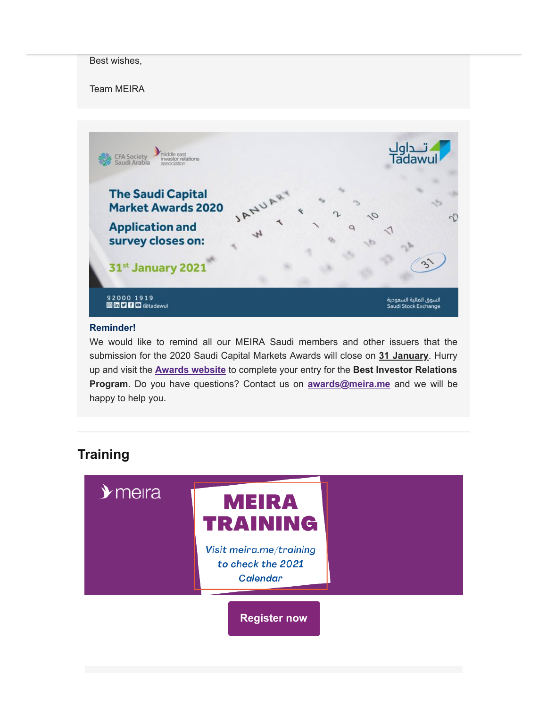### Best wishes,

Team MEIRA



### **Reminder!**

We would like to remind all our MEIRA Saudi members and other issuers that the submission for the 2020 Saudi Capital Markets Awards will close on **31 January**. Hurry up and visit the **[Awards website](https://www.tadawul.com.sa/wps/portal/tadawul/market-participants/awards/investor-relation?locale=en)** to complete your entry for the **Best Investor Relations Program**. Do you have questions? Contact us on **[awards@meira.me](mailto:awards@meira.me)** and we will be happy to help you.

# **Training**

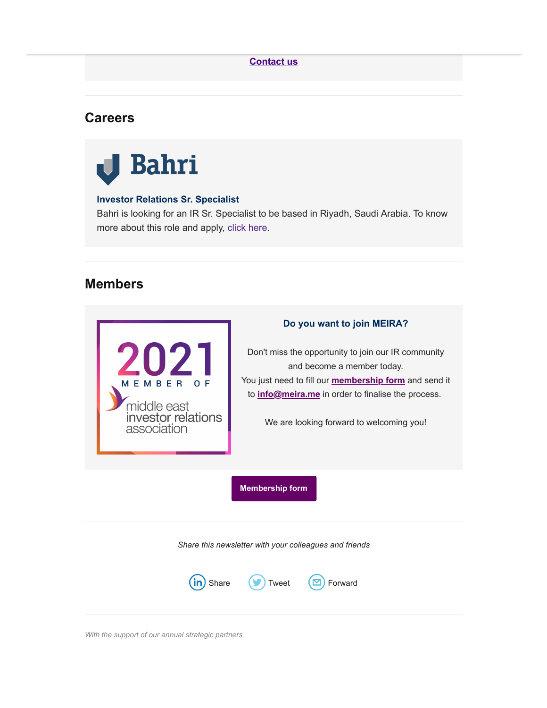## **[Contact us](http://info@meira.me/)**

## **Careers**



### **Investor Relations Sr. Specialist**

Bahri is looking for an IR Sr. Specialist to be based in Riyadh, Saudi Arabia. To know more about this role and apply, [click here](https://www.linkedin.com/jobs/view/2365516232/?refId=FIgUvcIVT96kLAABHqA48A%3D%3D).

# **Members**



### **Do you want to join MEIRA?**

Don't miss the opportunity to join our IR community and become a member today. You just need to fill our **[membership form](https://gallery.mailchimp.com/fb3bf6ef969429f0986e227fa/files/5230279d-d551-439e-b632-f3fbe3f37a43/MEIRA_Membership_Form.01.pdf)** and send it to **info@meira.me** in order to finalise the process.

We are looking forward to welcoming you!

**[Membership form](https://gallery.mailchimp.com/fb3bf6ef969429f0986e227fa/files/5230279d-d551-439e-b632-f3fbe3f37a43/MEIRA_Membership_Form.01.pdf)**

*Share this newsletter with your colleagues and friends*



*With the support of our annual strategic partners*